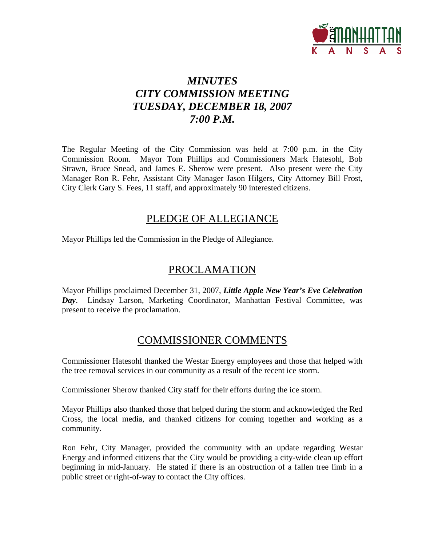

# *MINUTES CITY COMMISSION MEETING TUESDAY, DECEMBER 18, 2007 7:00 P.M.*

The Regular Meeting of the City Commission was held at 7:00 p.m. in the City Commission Room. Mayor Tom Phillips and Commissioners Mark Hatesohl, Bob Strawn, Bruce Snead, and James E. Sherow were present. Also present were the City Manager Ron R. Fehr, Assistant City Manager Jason Hilgers, City Attorney Bill Frost, City Clerk Gary S. Fees, 11 staff, and approximately 90 interested citizens.

## PLEDGE OF ALLEGIANCE

Mayor Phillips led the Commission in the Pledge of Allegiance.

# PROCLAMATION

Mayor Phillips proclaimed December 31, 2007, *Little Apple New Year's Eve Celebration Day*. Lindsay Larson, Marketing Coordinator, Manhattan Festival Committee, was present to receive the proclamation.

## COMMISSIONER COMMENTS

Commissioner Hatesohl thanked the Westar Energy employees and those that helped with the tree removal services in our community as a result of the recent ice storm.

Commissioner Sherow thanked City staff for their efforts during the ice storm.

Mayor Phillips also thanked those that helped during the storm and acknowledged the Red Cross, the local media, and thanked citizens for coming together and working as a community.

Ron Fehr, City Manager, provided the community with an update regarding Westar Energy and informed citizens that the City would be providing a city-wide clean up effort beginning in mid-January. He stated if there is an obstruction of a fallen tree limb in a public street or right-of-way to contact the City offices.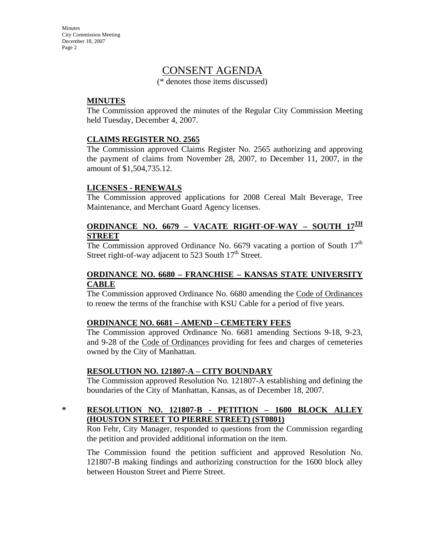## CONSENT AGENDA

(\* denotes those items discussed)

#### **MINUTES**

The Commission approved the minutes of the Regular City Commission Meeting held Tuesday, December 4, 2007.

#### **CLAIMS REGISTER NO. 2565**

The Commission approved Claims Register No. 2565 authorizing and approving the payment of claims from November 28, 2007, to December 11, 2007, in the amount of \$1,504,735.12.

#### **LICENSES - RENEWALS**

The Commission approved applications for 2008 Cereal Malt Beverage, Tree Maintenance, and Merchant Guard Agency licenses.

### **ORDINANCE NO. 6679 – VACATE RIGHT-OF-WAY – SOUTH 17TH STREET**

The Commission approved Ordinance No. 6679 vacating a portion of South  $17<sup>th</sup>$ Street right-of-way adjacent to 523 South  $17<sup>th</sup>$  Street.

#### **ORDINANCE NO. 6680 – FRANCHISE – KANSAS STATE UNIVERSITY CABLE**

The Commission approved Ordinance No. 6680 amending the Code of Ordinances to renew the terms of the franchise with KSU Cable for a period of five years.

#### **ORDINANCE NO. 6681 – AMEND – CEMETERY FEES**

The Commission approved Ordinance No. 6681 amending Sections 9-18, 9-23, and 9-28 of the Code of Ordinances providing for fees and charges of cemeteries owned by the City of Manhattan.

#### **RESOLUTION NO. 121807-A – CITY BOUNDARY**

The Commission approved Resolution No. 121807-A establishing and defining the boundaries of the City of Manhattan, Kansas, as of December 18, 2007.

### **\* RESOLUTION NO. 121807-B - PETITION – 1600 BLOCK ALLEY (HOUSTON STREET TO PIERRE STREET) (ST0801)**

Ron Fehr, City Manager, responded to questions from the Commission regarding the petition and provided additional information on the item.

The Commission found the petition sufficient and approved Resolution No. 121807-B making findings and authorizing construction for the 1600 block alley between Houston Street and Pierre Street.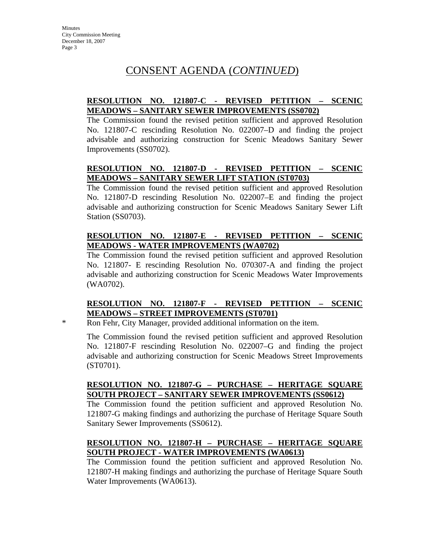### **RESOLUTION NO. 121807-C - REVISED PETITION – SCENIC MEADOWS – SANITARY SEWER IMPROVEMENTS (SS0702)**

The Commission found the revised petition sufficient and approved Resolution No. 121807-C rescinding Resolution No. 022007–D and finding the project advisable and authorizing construction for Scenic Meadows Sanitary Sewer Improvements (SS0702).

## **RESOLUTION NO. 121807-D - REVISED PETITION – SCENIC MEADOWS – SANITARY SEWER LIFT STATION (ST0703)**

The Commission found the revised petition sufficient and approved Resolution No. 121807-D rescinding Resolution No. 022007–E and finding the project advisable and authorizing construction for Scenic Meadows Sanitary Sewer Lift Station (SS0703).

### **RESOLUTION NO. 121807-E - REVISED PETITION – SCENIC MEADOWS - WATER IMPROVEMENTS (WA0702)**

The Commission found the revised petition sufficient and approved Resolution No. 121807- E rescinding Resolution No. 070307-A and finding the project advisable and authorizing construction for Scenic Meadows Water Improvements (WA0702).

## **RESOLUTION NO. 121807-F - REVISED PETITION – SCENIC MEADOWS – STREET IMPROVEMENTS (ST0701)**

\* Ron Fehr, City Manager, provided additional information on the item.

 The Commission found the revised petition sufficient and approved Resolution No. 121807-F rescinding Resolution No. 022007–G and finding the project advisable and authorizing construction for Scenic Meadows Street Improvements (ST0701).

### **RESOLUTION NO. 121807-G – PURCHASE – HERITAGE SQUARE SOUTH PROJECT – SANITARY SEWER IMPROVEMENTS (SS0612)**

The Commission found the petition sufficient and approved Resolution No. 121807-G making findings and authorizing the purchase of Heritage Square South Sanitary Sewer Improvements (SS0612).

## **RESOLUTION NO. 121807-H – PURCHASE – HERITAGE SQUARE SOUTH PROJECT - WATER IMPROVEMENTS (WA0613)**

The Commission found the petition sufficient and approved Resolution No. 121807-H making findings and authorizing the purchase of Heritage Square South Water Improvements (WA0613).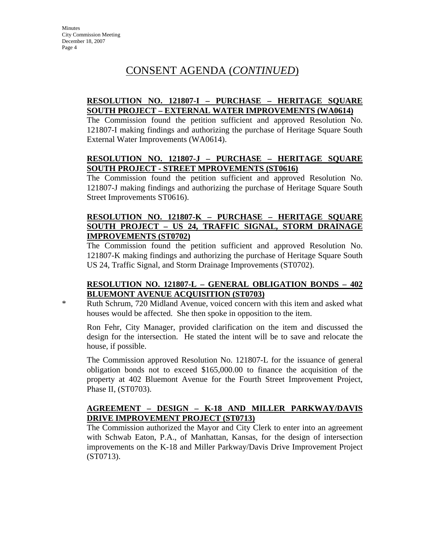### **RESOLUTION NO. 121807-I – PURCHASE – HERITAGE SQUARE SOUTH PROJECT – EXTERNAL WATER IMPROVEMENTS (WA0614)**

The Commission found the petition sufficient and approved Resolution No. 121807-I making findings and authorizing the purchase of Heritage Square South External Water Improvements (WA0614).

### **RESOLUTION NO. 121807-J – PURCHASE – HERITAGE SQUARE SOUTH PROJECT - STREET MPROVEMENTS (ST0616)**

The Commission found the petition sufficient and approved Resolution No. 121807-J making findings and authorizing the purchase of Heritage Square South Street Improvements ST0616).

### **RESOLUTION NO. 121807-K – PURCHASE – HERITAGE SQUARE SOUTH PROJECT – US 24, TRAFFIC SIGNAL, STORM DRAINAGE IMPROVEMENTS (ST0702)**

The Commission found the petition sufficient and approved Resolution No. 121807-K making findings and authorizing the purchase of Heritage Square South US 24, Traffic Signal, and Storm Drainage Improvements (ST0702).

#### **RESOLUTION NO. 121807-L – GENERAL OBLIGATION BONDS – 402 BLUEMONT AVENUE ACQUISITION (ST0703)**

\* Ruth Schrum, 720 Midland Avenue, voiced concern with this item and asked what houses would be affected. She then spoke in opposition to the item.

Ron Fehr, City Manager, provided clarification on the item and discussed the design for the intersection. He stated the intent will be to save and relocate the house, if possible.

The Commission approved Resolution No. 121807-L for the issuance of general obligation bonds not to exceed \$165,000.00 to finance the acquisition of the property at 402 Bluemont Avenue for the Fourth Street Improvement Project, Phase II, (ST0703).

### **AGREEMENT – DESIGN – K-18 AND MILLER PARKWAY/DAVIS DRIVE IMPROVEMENT PROJECT (ST0713)**

The Commission authorized the Mayor and City Clerk to enter into an agreement with Schwab Eaton, P.A., of Manhattan, Kansas, for the design of intersection improvements on the K-18 and Miller Parkway/Davis Drive Improvement Project (ST0713).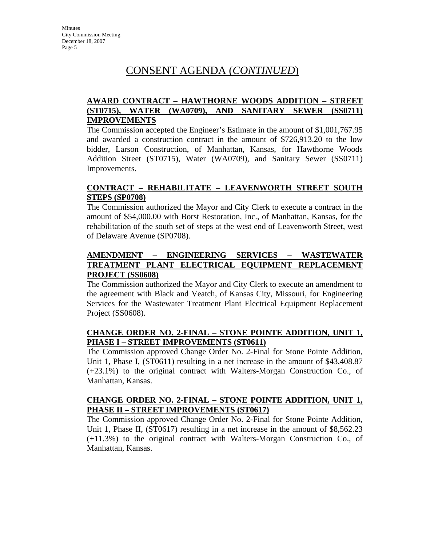### **AWARD CONTRACT – HAWTHORNE WOODS ADDITION – STREET (ST0715), WATER (WA0709), AND SANITARY SEWER (SS0711) IMPROVEMENTS**

The Commission accepted the Engineer's Estimate in the amount of \$1,001,767.95 and awarded a construction contract in the amount of \$726,913.20 to the low bidder, Larson Construction, of Manhattan, Kansas, for Hawthorne Woods Addition Street (ST0715), Water (WA0709), and Sanitary Sewer (SS0711) Improvements.

#### **CONTRACT – REHABILITATE – LEAVENWORTH STREET SOUTH STEPS (SP0708)**

The Commission authorized the Mayor and City Clerk to execute a contract in the amount of \$54,000.00 with Borst Restoration, Inc., of Manhattan, Kansas, for the rehabilitation of the south set of steps at the west end of Leavenworth Street, west of Delaware Avenue (SP0708).

### **AMENDMENT – ENGINEERING SERVICES – WASTEWATER TREATMENT PLANT ELECTRICAL EQUIPMENT REPLACEMENT PROJECT (SS0608)**

The Commission authorized the Mayor and City Clerk to execute an amendment to the agreement with Black and Veatch, of Kansas City, Missouri, for Engineering Services for the Wastewater Treatment Plant Electrical Equipment Replacement Project (SS0608).

### **CHANGE ORDER NO. 2-FINAL – STONE POINTE ADDITION, UNIT 1, PHASE I – STREET IMPROVEMENTS (ST0611)**

The Commission approved Change Order No. 2-Final for Stone Pointe Addition, Unit 1, Phase I, (ST0611) resulting in a net increase in the amount of \$43,408.87 (+23.1%) to the original contract with Walters-Morgan Construction Co., of Manhattan, Kansas.

### **CHANGE ORDER NO. 2-FINAL – STONE POINTE ADDITION, UNIT 1, PHASE II – STREET IMPROVEMENTS (ST0617)**

The Commission approved Change Order No. 2-Final for Stone Pointe Addition, Unit 1, Phase II, (ST0617) resulting in a net increase in the amount of \$8,562.23 (+11.3%) to the original contract with Walters-Morgan Construction Co., of Manhattan, Kansas.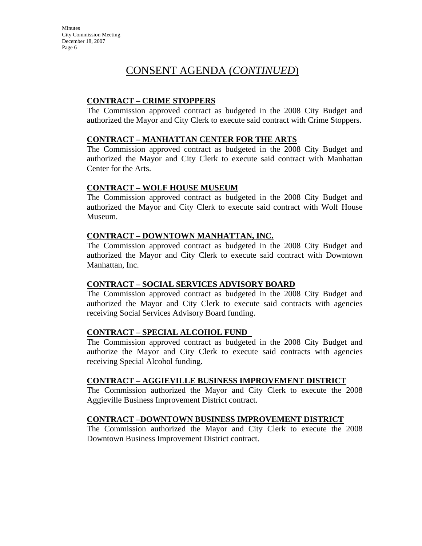## CONSENT AGENDA (*CONTINUED*)

### **CONTRACT – CRIME STOPPERS**

The Commission approved contract as budgeted in the 2008 City Budget and authorized the Mayor and City Clerk to execute said contract with Crime Stoppers.

#### **CONTRACT – MANHATTAN CENTER FOR THE ARTS**

The Commission approved contract as budgeted in the 2008 City Budget and authorized the Mayor and City Clerk to execute said contract with Manhattan Center for the Arts.

#### **CONTRACT – WOLF HOUSE MUSEUM**

The Commission approved contract as budgeted in the 2008 City Budget and authorized the Mayor and City Clerk to execute said contract with Wolf House Museum.

#### **CONTRACT – DOWNTOWN MANHATTAN, INC.**

The Commission approved contract as budgeted in the 2008 City Budget and authorized the Mayor and City Clerk to execute said contract with Downtown Manhattan, Inc.

#### **CONTRACT – SOCIAL SERVICES ADVISORY BOARD**

The Commission approved contract as budgeted in the 2008 City Budget and authorized the Mayor and City Clerk to execute said contracts with agencies receiving Social Services Advisory Board funding.

### **CONTRACT – SPECIAL ALCOHOL FUND**

The Commission approved contract as budgeted in the 2008 City Budget and authorize the Mayor and City Clerk to execute said contracts with agencies receiving Special Alcohol funding.

### **CONTRACT – AGGIEVILLE BUSINESS IMPROVEMENT DISTRICT**

 The Commission authorized the Mayor and City Clerk to execute the 2008 Aggieville Business Improvement District contract.

### **CONTRACT –DOWNTOWN BUSINESS IMPROVEMENT DISTRICT**

The Commission authorized the Mayor and City Clerk to execute the 2008 Downtown Business Improvement District contract.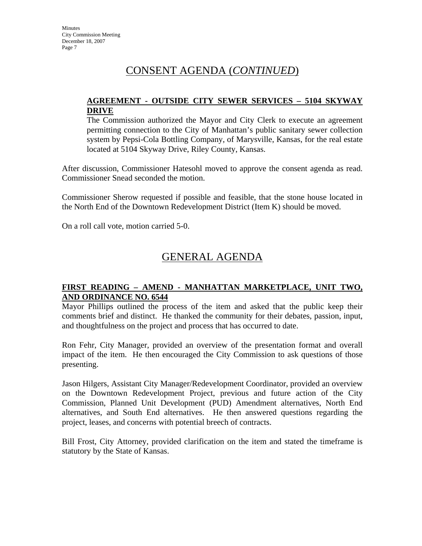### **AGREEMENT - OUTSIDE CITY SEWER SERVICES – 5104 SKYWAY DRIVE**

The Commission authorized the Mayor and City Clerk to execute an agreement permitting connection to the City of Manhattan's public sanitary sewer collection system by Pepsi-Cola Bottling Company, of Marysville, Kansas, for the real estate located at 5104 Skyway Drive, Riley County, Kansas.

After discussion, Commissioner Hatesohl moved to approve the consent agenda as read. Commissioner Snead seconded the motion.

Commissioner Sherow requested if possible and feasible, that the stone house located in the North End of the Downtown Redevelopment District (Item K) should be moved.

On a roll call vote, motion carried 5-0.

# GENERAL AGENDA

### **FIRST READING – AMEND - MANHATTAN MARKETPLACE, UNIT TWO, AND ORDINANCE NO. 6544**

Mayor Phillips outlined the process of the item and asked that the public keep their comments brief and distinct. He thanked the community for their debates, passion, input, and thoughtfulness on the project and process that has occurred to date.

Ron Fehr, City Manager, provided an overview of the presentation format and overall impact of the item. He then encouraged the City Commission to ask questions of those presenting.

Jason Hilgers, Assistant City Manager/Redevelopment Coordinator, provided an overview on the Downtown Redevelopment Project, previous and future action of the City Commission, Planned Unit Development (PUD) Amendment alternatives, North End alternatives, and South End alternatives. He then answered questions regarding the project, leases, and concerns with potential breech of contracts.

Bill Frost, City Attorney, provided clarification on the item and stated the timeframe is statutory by the State of Kansas.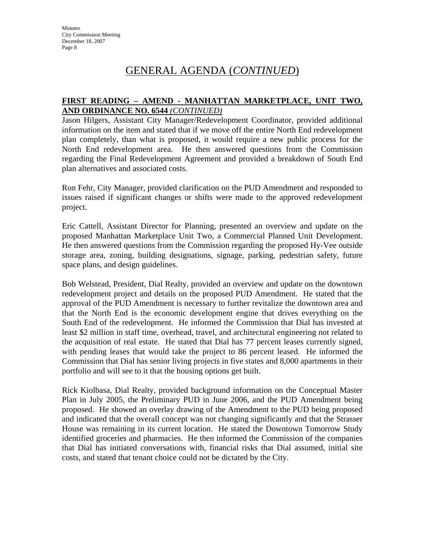### **FIRST READING – AMEND - MANHATTAN MARKETPLACE, UNIT TWO, AND ORDINANCE NO. 6544** *(CONTINUED)*

Jason Hilgers, Assistant City Manager/Redevelopment Coordinator, provided additional information on the item and stated that if we move off the entire North End redevelopment plan completely, than what is proposed, it would require a new public process for the North End redevelopment area. He then answered questions from the Commission regarding the Final Redevelopment Agreement and provided a breakdown of South End plan alternatives and associated costs.

Ron Fehr, City Manager, provided clarification on the PUD Amendment and responded to issues raised if significant changes or shifts were made to the approved redevelopment project.

Eric Cattell, Assistant Director for Planning, presented an overview and update on the proposed Manhattan Marketplace Unit Two, a Commercial Planned Unit Development. He then answered questions from the Commission regarding the proposed Hy-Vee outside storage area, zoning, building designations, signage, parking, pedestrian safety, future space plans, and design guidelines.

Bob Welstead, President, Dial Realty, provided an overview and update on the downtown redevelopment project and details on the proposed PUD Amendment. He stated that the approval of the PUD Amendment is necessary to further revitalize the downtown area and that the North End is the economic development engine that drives everything on the South End of the redevelopment. He informed the Commission that Dial has invested at least \$2 million in staff time, overhead, travel, and architectural engineering not related to the acquisition of real estate. He stated that Dial has 77 percent leases currently signed, with pending leases that would take the project to 86 percent leased. He informed the Commission that Dial has senior living projects in five states and 8,000 apartments in their portfolio and will see to it that the housing options get built.

Rick Kiolbasa, Dial Realty, provided background information on the Conceptual Master Plan in July 2005, the Preliminary PUD in June 2006, and the PUD Amendment being proposed. He showed an overlay drawing of the Amendment to the PUD being proposed and indicated that the overall concept was not changing significantly and that the Strasser House was remaining in its current location. He stated the Downtown Tomorrow Study identified groceries and pharmacies. He then informed the Commission of the companies that Dial has initiated conversations with, financial risks that Dial assumed, initial site costs, and stated that tenant choice could not be dictated by the City.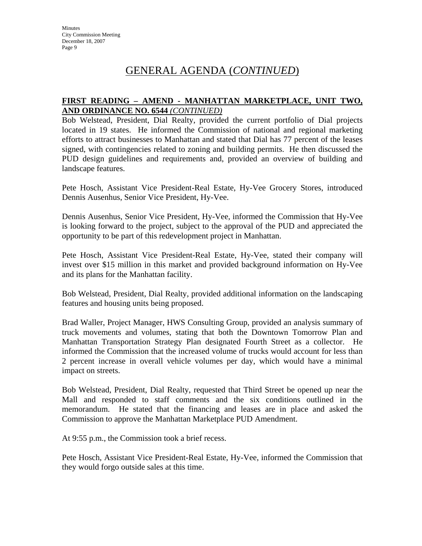### **FIRST READING – AMEND - MANHATTAN MARKETPLACE, UNIT TWO, AND ORDINANCE NO. 6544** *(CONTINUED)*

Bob Welstead, President, Dial Realty, provided the current portfolio of Dial projects located in 19 states. He informed the Commission of national and regional marketing efforts to attract businesses to Manhattan and stated that Dial has 77 percent of the leases signed, with contingencies related to zoning and building permits. He then discussed the PUD design guidelines and requirements and, provided an overview of building and landscape features.

Pete Hosch, Assistant Vice President-Real Estate, Hy-Vee Grocery Stores, introduced Dennis Ausenhus, Senior Vice President, Hy-Vee.

Dennis Ausenhus, Senior Vice President, Hy-Vee, informed the Commission that Hy-Vee is looking forward to the project, subject to the approval of the PUD and appreciated the opportunity to be part of this redevelopment project in Manhattan.

Pete Hosch, Assistant Vice President-Real Estate, Hy-Vee, stated their company will invest over \$15 million in this market and provided background information on Hy-Vee and its plans for the Manhattan facility.

Bob Welstead, President, Dial Realty, provided additional information on the landscaping features and housing units being proposed.

Brad Waller, Project Manager, HWS Consulting Group, provided an analysis summary of truck movements and volumes, stating that both the Downtown Tomorrow Plan and Manhattan Transportation Strategy Plan designated Fourth Street as a collector. He informed the Commission that the increased volume of trucks would account for less than 2 percent increase in overall vehicle volumes per day, which would have a minimal impact on streets.

Bob Welstead, President, Dial Realty, requested that Third Street be opened up near the Mall and responded to staff comments and the six conditions outlined in the memorandum. He stated that the financing and leases are in place and asked the Commission to approve the Manhattan Marketplace PUD Amendment.

At 9:55 p.m., the Commission took a brief recess.

Pete Hosch, Assistant Vice President-Real Estate, Hy-Vee, informed the Commission that they would forgo outside sales at this time.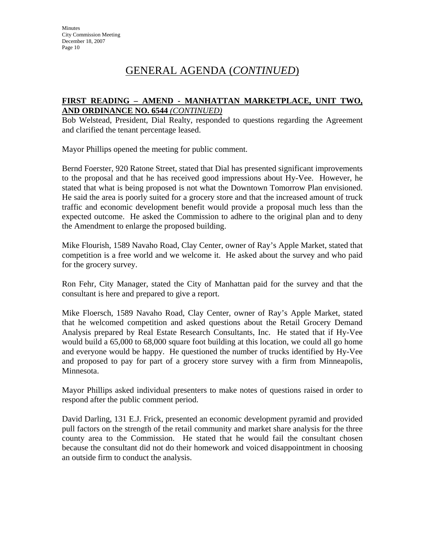### **FIRST READING – AMEND - MANHATTAN MARKETPLACE, UNIT TWO, AND ORDINANCE NO. 6544** *(CONTINUED)*

Bob Welstead, President, Dial Realty, responded to questions regarding the Agreement and clarified the tenant percentage leased.

Mayor Phillips opened the meeting for public comment.

Bernd Foerster, 920 Ratone Street, stated that Dial has presented significant improvements to the proposal and that he has received good impressions about Hy-Vee. However, he stated that what is being proposed is not what the Downtown Tomorrow Plan envisioned. He said the area is poorly suited for a grocery store and that the increased amount of truck traffic and economic development benefit would provide a proposal much less than the expected outcome. He asked the Commission to adhere to the original plan and to deny the Amendment to enlarge the proposed building.

Mike Flourish, 1589 Navaho Road, Clay Center, owner of Ray's Apple Market, stated that competition is a free world and we welcome it. He asked about the survey and who paid for the grocery survey.

Ron Fehr, City Manager, stated the City of Manhattan paid for the survey and that the consultant is here and prepared to give a report.

Mike Floersch, 1589 Navaho Road, Clay Center, owner of Ray's Apple Market, stated that he welcomed competition and asked questions about the Retail Grocery Demand Analysis prepared by Real Estate Research Consultants, Inc. He stated that if Hy-Vee would build a 65,000 to 68,000 square foot building at this location, we could all go home and everyone would be happy. He questioned the number of trucks identified by Hy-Vee and proposed to pay for part of a grocery store survey with a firm from Minneapolis, Minnesota.

Mayor Phillips asked individual presenters to make notes of questions raised in order to respond after the public comment period.

David Darling, 131 E.J. Frick, presented an economic development pyramid and provided pull factors on the strength of the retail community and market share analysis for the three county area to the Commission. He stated that he would fail the consultant chosen because the consultant did not do their homework and voiced disappointment in choosing an outside firm to conduct the analysis.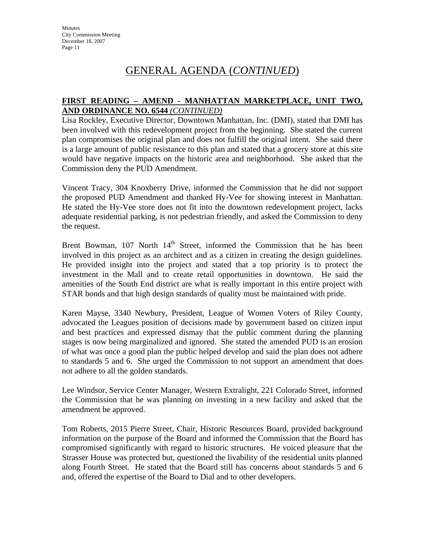### **FIRST READING – AMEND - MANHATTAN MARKETPLACE, UNIT TWO, AND ORDINANCE NO. 6544** *(CONTINUED)*

Lisa Rockley, Executive Director, Downtown Manhattan, Inc. (DMI), stated that DMI has been involved with this redevelopment project from the beginning. She stated the current plan compromises the original plan and does not fulfill the original intent. She said there is a large amount of public resistance to this plan and stated that a grocery store at this site would have negative impacts on the historic area and neighborhood. She asked that the Commission deny the PUD Amendment.

Vincent Tracy, 304 Knoxberry Drive, informed the Commission that he did not support the proposed PUD Amendment and thanked Hy-Vee for showing interest in Manhattan. He stated the Hy-Vee store does not fit into the downtown redevelopment project, lacks adequate residential parking, is not pedestrian friendly, and asked the Commission to deny the request.

Brent Bowman,  $107$  North  $14<sup>th</sup>$  Street, informed the Commission that he has been involved in this project as an architect and as a citizen in creating the design guidelines. He provided insight into the project and stated that a top priority is to protect the investment in the Mall and to create retail opportunities in downtown. He said the amenities of the South End district are what is really important in this entire project with STAR bonds and that high design standards of quality must be maintained with pride.

Karen Mayse, 3340 Newbury, President, League of Women Voters of Riley County, advocated the Leagues position of decisions made by government based on citizen input and best practices and expressed dismay that the public comment during the planning stages is now being marginalized and ignored. She stated the amended PUD is an erosion of what was once a good plan the public helped develop and said the plan does not adhere to standards 5 and 6. She urged the Commission to not support an amendment that does not adhere to all the golden standards.

Lee Windsor, Service Center Manager, Western Extralight, 221 Colorado Street, informed the Commission that he was planning on investing in a new facility and asked that the amendment be approved.

Tom Roberts, 2015 Pierre Street, Chair, Historic Resources Board, provided background information on the purpose of the Board and informed the Commission that the Board has compromised significantly with regard to historic structures. He voiced pleasure that the Strasser House was protected but, questioned the livability of the residential units planned along Fourth Street. He stated that the Board still has concerns about standards 5 and 6 and, offered the expertise of the Board to Dial and to other developers.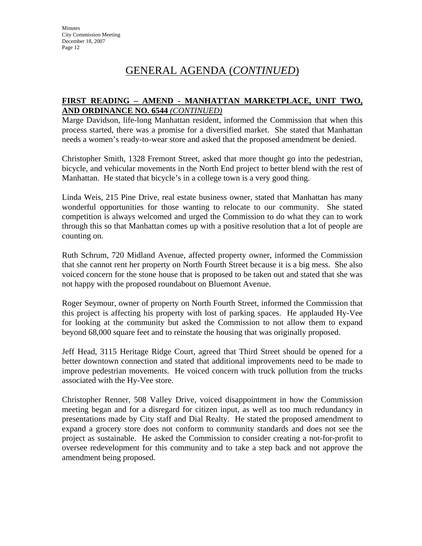### **FIRST READING – AMEND - MANHATTAN MARKETPLACE, UNIT TWO, AND ORDINANCE NO. 6544** *(CONTINUED)*

Marge Davidson, life-long Manhattan resident, informed the Commission that when this process started, there was a promise for a diversified market. She stated that Manhattan needs a women's ready-to-wear store and asked that the proposed amendment be denied.

Christopher Smith, 1328 Fremont Street, asked that more thought go into the pedestrian, bicycle, and vehicular movements in the North End project to better blend with the rest of Manhattan. He stated that bicycle's in a college town is a very good thing.

Linda Weis, 215 Pine Drive, real estate business owner, stated that Manhattan has many wonderful opportunities for those wanting to relocate to our community. She stated competition is always welcomed and urged the Commission to do what they can to work through this so that Manhattan comes up with a positive resolution that a lot of people are counting on.

Ruth Schrum, 720 Midland Avenue, affected property owner, informed the Commission that she cannot rent her property on North Fourth Street because it is a big mess. She also voiced concern for the stone house that is proposed to be taken out and stated that she was not happy with the proposed roundabout on Bluemont Avenue.

Roger Seymour, owner of property on North Fourth Street, informed the Commission that this project is affecting his property with lost of parking spaces. He applauded Hy-Vee for looking at the community but asked the Commission to not allow them to expand beyond 68,000 square feet and to reinstate the housing that was originally proposed.

Jeff Head, 3115 Heritage Ridge Court, agreed that Third Street should be opened for a better downtown connection and stated that additional improvements need to be made to improve pedestrian movements. He voiced concern with truck pollution from the trucks associated with the Hy-Vee store.

Christopher Renner, 508 Valley Drive, voiced disappointment in how the Commission meeting began and for a disregard for citizen input, as well as too much redundancy in presentations made by City staff and Dial Realty. He stated the proposed amendment to expand a grocery store does not conform to community standards and does not see the project as sustainable. He asked the Commission to consider creating a not-for-profit to oversee redevelopment for this community and to take a step back and not approve the amendment being proposed.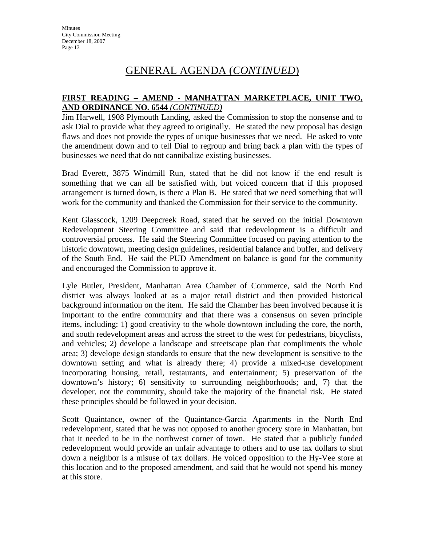## GENERAL AGENDA (*CONTINUED*)

### **FIRST READING – AMEND - MANHATTAN MARKETPLACE, UNIT TWO, AND ORDINANCE NO. 6544** *(CONTINUED)*

Jim Harwell, 1908 Plymouth Landing, asked the Commission to stop the nonsense and to ask Dial to provide what they agreed to originally. He stated the new proposal has design flaws and does not provide the types of unique businesses that we need. He asked to vote the amendment down and to tell Dial to regroup and bring back a plan with the types of businesses we need that do not cannibalize existing businesses.

Brad Everett, 3875 Windmill Run, stated that he did not know if the end result is something that we can all be satisfied with, but voiced concern that if this proposed arrangement is turned down, is there a Plan B. He stated that we need something that will work for the community and thanked the Commission for their service to the community.

Kent Glasscock, 1209 Deepcreek Road, stated that he served on the initial Downtown Redevelopment Steering Committee and said that redevelopment is a difficult and controversial process. He said the Steering Committee focused on paying attention to the historic downtown, meeting design guidelines, residential balance and buffer, and delivery of the South End. He said the PUD Amendment on balance is good for the community and encouraged the Commission to approve it.

Lyle Butler, President, Manhattan Area Chamber of Commerce, said the North End district was always looked at as a major retail district and then provided historical background information on the item. He said the Chamber has been involved because it is important to the entire community and that there was a consensus on seven principle items, including: 1) good creativity to the whole downtown including the core, the north, and south redevelopment areas and across the street to the west for pedestrians, bicyclists, and vehicles; 2) develope a landscape and streetscape plan that compliments the whole area; 3) develope design standards to ensure that the new development is sensitive to the downtown setting and what is already there; 4) provide a mixed-use development incorporating housing, retail, restaurants, and entertainment; 5) preservation of the downtown's history; 6) sensitivity to surrounding neighborhoods; and, 7) that the developer, not the community, should take the majority of the financial risk. He stated these principles should be followed in your decision.

Scott Quaintance, owner of the Quaintance-Garcia Apartments in the North End redevelopment, stated that he was not opposed to another grocery store in Manhattan, but that it needed to be in the northwest corner of town. He stated that a publicly funded redevelopment would provide an unfair advantage to others and to use tax dollars to shut down a neighbor is a misuse of tax dollars. He voiced opposition to the Hy-Vee store at this location and to the proposed amendment, and said that he would not spend his money at this store.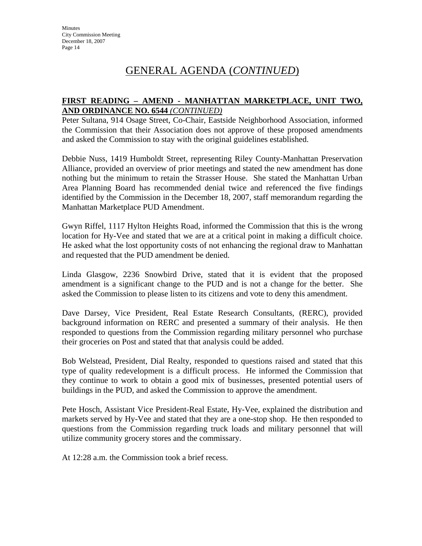### **FIRST READING – AMEND - MANHATTAN MARKETPLACE, UNIT TWO, AND ORDINANCE NO. 6544** *(CONTINUED)*

Peter Sultana, 914 Osage Street, Co-Chair, Eastside Neighborhood Association, informed the Commission that their Association does not approve of these proposed amendments and asked the Commission to stay with the original guidelines established.

Debbie Nuss, 1419 Humboldt Street, representing Riley County-Manhattan Preservation Alliance, provided an overview of prior meetings and stated the new amendment has done nothing but the minimum to retain the Strasser House. She stated the Manhattan Urban Area Planning Board has recommended denial twice and referenced the five findings identified by the Commission in the December 18, 2007, staff memorandum regarding the Manhattan Marketplace PUD Amendment.

Gwyn Riffel, 1117 Hylton Heights Road, informed the Commission that this is the wrong location for Hy-Vee and stated that we are at a critical point in making a difficult choice. He asked what the lost opportunity costs of not enhancing the regional draw to Manhattan and requested that the PUD amendment be denied.

Linda Glasgow, 2236 Snowbird Drive, stated that it is evident that the proposed amendment is a significant change to the PUD and is not a change for the better. She asked the Commission to please listen to its citizens and vote to deny this amendment.

Dave Darsey, Vice President, Real Estate Research Consultants, (RERC), provided background information on RERC and presented a summary of their analysis. He then responded to questions from the Commission regarding military personnel who purchase their groceries on Post and stated that that analysis could be added.

Bob Welstead, President, Dial Realty, responded to questions raised and stated that this type of quality redevelopment is a difficult process. He informed the Commission that they continue to work to obtain a good mix of businesses, presented potential users of buildings in the PUD, and asked the Commission to approve the amendment.

Pete Hosch, Assistant Vice President-Real Estate, Hy-Vee, explained the distribution and markets served by Hy-Vee and stated that they are a one-stop shop. He then responded to questions from the Commission regarding truck loads and military personnel that will utilize community grocery stores and the commissary.

At 12:28 a.m. the Commission took a brief recess.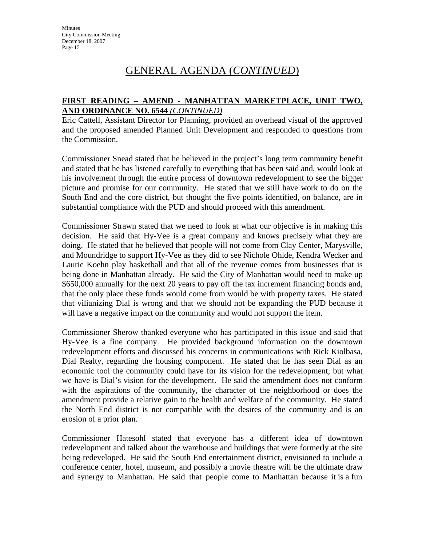### **FIRST READING – AMEND - MANHATTAN MARKETPLACE, UNIT TWO, AND ORDINANCE NO. 6544** *(CONTINUED)*

Eric Cattell, Assistant Director for Planning, provided an overhead visual of the approved and the proposed amended Planned Unit Development and responded to questions from the Commission.

Commissioner Snead stated that he believed in the project's long term community benefit and stated that he has listened carefully to everything that has been said and, would look at his involvement through the entire process of downtown redevelopment to see the bigger picture and promise for our community. He stated that we still have work to do on the South End and the core district, but thought the five points identified, on balance, are in substantial compliance with the PUD and should proceed with this amendment.

Commissioner Strawn stated that we need to look at what our objective is in making this decision. He said that Hy-Vee is a great company and knows precisely what they are doing. He stated that he believed that people will not come from Clay Center, Marysville, and Moundridge to support Hy-Vee as they did to see Nichole Ohlde, Kendra Wecker and Laurie Koehn play basketball and that all of the revenue comes from businesses that is being done in Manhattan already. He said the City of Manhattan would need to make up \$650,000 annually for the next 20 years to pay off the tax increment financing bonds and, that the only place these funds would come from would be with property taxes. He stated that vilianizing Dial is wrong and that we should not be expanding the PUD because it will have a negative impact on the community and would not support the item.

Commissioner Sherow thanked everyone who has participated in this issue and said that Hy-Vee is a fine company. He provided background information on the downtown redevelopment efforts and discussed his concerns in communications with Rick Kiolbasa, Dial Realty, regarding the housing component. He stated that he has seen Dial as an economic tool the community could have for its vision for the redevelopment, but what we have is Dial's vision for the development. He said the amendment does not conform with the aspirations of the community, the character of the neighborhood or does the amendment provide a relative gain to the health and welfare of the community. He stated the North End district is not compatible with the desires of the community and is an erosion of a prior plan.

Commissioner Hatesohl stated that everyone has a different idea of downtown redevelopment and talked about the warehouse and buildings that were formerly at the site being redeveloped. He said the South End entertainment district, envisioned to include a conference center, hotel, museum, and possibly a movie theatre will be the ultimate draw and synergy to Manhattan. He said that people come to Manhattan because it is a fun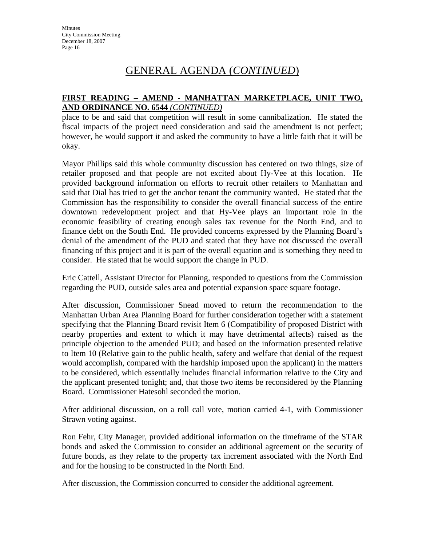### **FIRST READING – AMEND - MANHATTAN MARKETPLACE, UNIT TWO, AND ORDINANCE NO. 6544** *(CONTINUED)*

place to be and said that competition will result in some cannibalization. He stated the fiscal impacts of the project need consideration and said the amendment is not perfect; however, he would support it and asked the community to have a little faith that it will be okay.

Mayor Phillips said this whole community discussion has centered on two things, size of retailer proposed and that people are not excited about Hy-Vee at this location. He provided background information on efforts to recruit other retailers to Manhattan and said that Dial has tried to get the anchor tenant the community wanted. He stated that the Commission has the responsibility to consider the overall financial success of the entire downtown redevelopment project and that Hy-Vee plays an important role in the economic feasibility of creating enough sales tax revenue for the North End, and to finance debt on the South End. He provided concerns expressed by the Planning Board's denial of the amendment of the PUD and stated that they have not discussed the overall financing of this project and it is part of the overall equation and is something they need to consider. He stated that he would support the change in PUD.

Eric Cattell, Assistant Director for Planning, responded to questions from the Commission regarding the PUD, outside sales area and potential expansion space square footage.

After discussion, Commissioner Snead moved to return the recommendation to the Manhattan Urban Area Planning Board for further consideration together with a statement specifying that the Planning Board revisit Item 6 (Compatibility of proposed District with nearby properties and extent to which it may have detrimental affects) raised as the principle objection to the amended PUD; and based on the information presented relative to Item 10 (Relative gain to the public health, safety and welfare that denial of the request would accomplish, compared with the hardship imposed upon the applicant) in the matters to be considered, which essentially includes financial information relative to the City and the applicant presented tonight; and, that those two items be reconsidered by the Planning Board. Commissioner Hatesohl seconded the motion.

After additional discussion, on a roll call vote, motion carried 4-1, with Commissioner Strawn voting against.

Ron Fehr, City Manager, provided additional information on the timeframe of the STAR bonds and asked the Commission to consider an additional agreement on the security of future bonds, as they relate to the property tax increment associated with the North End and for the housing to be constructed in the North End.

After discussion, the Commission concurred to consider the additional agreement.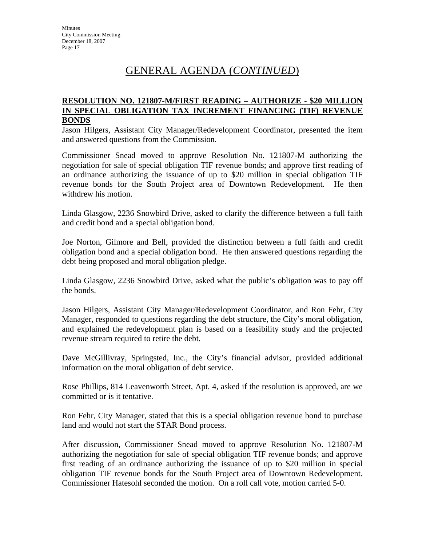#### **RESOLUTION NO. 121807-M/FIRST READING – AUTHORIZE - \$20 MILLION IN SPECIAL OBLIGATION TAX INCREMENT FINANCING (TIF) REVENUE BONDS**

Jason Hilgers, Assistant City Manager/Redevelopment Coordinator, presented the item and answered questions from the Commission.

Commissioner Snead moved to approve Resolution No. 121807-M authorizing the negotiation for sale of special obligation TIF revenue bonds; and approve first reading of an ordinance authorizing the issuance of up to \$20 million in special obligation TIF revenue bonds for the South Project area of Downtown Redevelopment. He then withdrew his motion.

Linda Glasgow, 2236 Snowbird Drive, asked to clarify the difference between a full faith and credit bond and a special obligation bond.

Joe Norton, Gilmore and Bell, provided the distinction between a full faith and credit obligation bond and a special obligation bond. He then answered questions regarding the debt being proposed and moral obligation pledge.

Linda Glasgow, 2236 Snowbird Drive, asked what the public's obligation was to pay off the bonds.

Jason Hilgers, Assistant City Manager/Redevelopment Coordinator, and Ron Fehr, City Manager, responded to questions regarding the debt structure, the City's moral obligation, and explained the redevelopment plan is based on a feasibility study and the projected revenue stream required to retire the debt.

Dave McGillivray, Springsted, Inc., the City's financial advisor, provided additional information on the moral obligation of debt service.

Rose Phillips, 814 Leavenworth Street, Apt. 4, asked if the resolution is approved, are we committed or is it tentative.

Ron Fehr, City Manager, stated that this is a special obligation revenue bond to purchase land and would not start the STAR Bond process.

After discussion, Commissioner Snead moved to approve Resolution No. 121807-M authorizing the negotiation for sale of special obligation TIF revenue bonds; and approve first reading of an ordinance authorizing the issuance of up to \$20 million in special obligation TIF revenue bonds for the South Project area of Downtown Redevelopment. Commissioner Hatesohl seconded the motion. On a roll call vote, motion carried 5-0.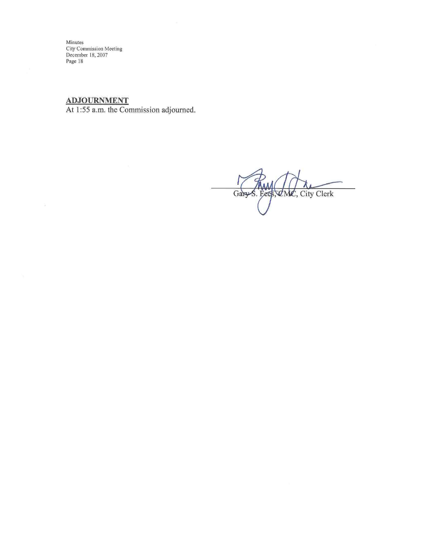**ADJOURNMENT** 

 $\%$ 

At 1:55 a.m. the Commission adjourned.

Gary S. Fees, CMC, City Clerk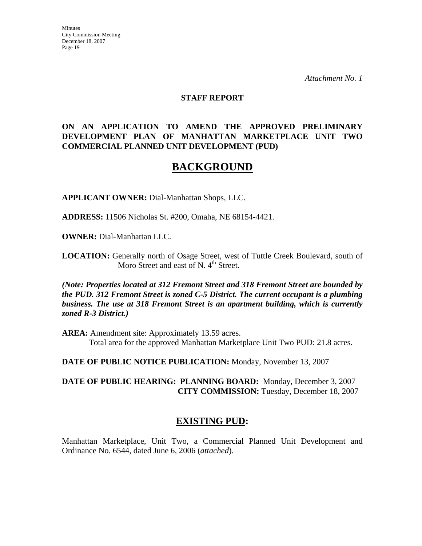*Attachment No. 1*

#### **STAFF REPORT**

#### **ON AN APPLICATION TO AMEND THE APPROVED PRELIMINARY DEVELOPMENT PLAN OF MANHATTAN MARKETPLACE UNIT TWO COMMERCIAL PLANNED UNIT DEVELOPMENT (PUD)**

## **BACKGROUND**

**APPLICANT OWNER:** Dial-Manhattan Shops, LLC.

**ADDRESS:** 11506 Nicholas St. #200, Omaha, NE 68154-4421.

**OWNER:** Dial-Manhattan LLC.

**LOCATION:** Generally north of Osage Street, west of Tuttle Creek Boulevard, south of Moro Street and east of N.  $4<sup>th</sup>$  Street.

*(Note: Properties located at 312 Fremont Street and 318 Fremont Street are bounded by the PUD. 312 Fremont Street is zoned C-5 District. The current occupant is a plumbing business. The use at 318 Fremont Street is an apartment building, which is currently zoned R-3 District.)*

**AREA:** Amendment site: Approximately 13.59 acres. Total area for the approved Manhattan Marketplace Unit Two PUD: 21.8 acres.

**DATE OF PUBLIC NOTICE PUBLICATION:** Monday, November 13, 2007

**DATE OF PUBLIC HEARING: PLANNING BOARD:** Monday, December 3, 2007 **CITY COMMISSION:** Tuesday, December 18, 2007

## **EXISTING PUD:**

Manhattan Marketplace, Unit Two, a Commercial Planned Unit Development and Ordinance No. 6544, dated June 6, 2006 (*attached*).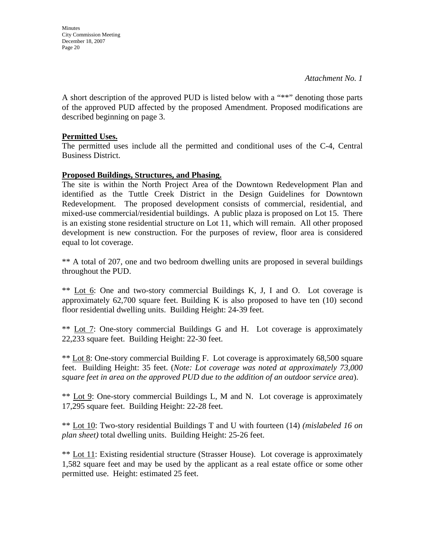**Minutes** City Commission Meeting December 18, 2007 Page 20

A short description of the approved PUD is listed below with a "\*\*" denoting those parts of the approved PUD affected by the proposed Amendment. Proposed modifications are described beginning on page 3.

#### **Permitted Uses.**

The permitted uses include all the permitted and conditional uses of the C-4, Central Business District.

#### **Proposed Buildings, Structures, and Phasing.**

The site is within the North Project Area of the Downtown Redevelopment Plan and identified as the Tuttle Creek District in the Design Guidelines for Downtown Redevelopment. The proposed development consists of commercial, residential, and mixed-use commercial/residential buildings. A public plaza is proposed on Lot 15. There is an existing stone residential structure on Lot 11, which will remain. All other proposed development is new construction. For the purposes of review, floor area is considered equal to lot coverage.

\*\* A total of 207, one and two bedroom dwelling units are proposed in several buildings throughout the PUD.

\*\* Lot 6: One and two-story commercial Buildings K, J, I and O. Lot coverage is approximately  $62,700$  square feet. Building K is also proposed to have ten  $(10)$  second floor residential dwelling units. Building Height: 24-39 feet.

\*\* Lot 7: One-story commercial Buildings G and H. Lot coverage is approximately 22,233 square feet. Building Height: 22-30 feet.

\*\* Lot 8: One-story commercial Building F. Lot coverage is approximately 68,500 square feet. Building Height: 35 feet. (*Note: Lot coverage was noted at approximately 73,000 square feet in area on the approved PUD due to the addition of an outdoor service area*).

\*\* Lot 9: One-story commercial Buildings L, M and N. Lot coverage is approximately 17,295 square feet. Building Height: 22-28 feet.

\*\* Lot 10: Two-story residential Buildings T and U with fourteen (14) *(mislabeled 16 on plan sheet)* total dwelling units. Building Height: 25-26 feet.

\*\* Lot 11: Existing residential structure (Strasser House). Lot coverage is approximately 1,582 square feet and may be used by the applicant as a real estate office or some other permitted use. Height: estimated 25 feet.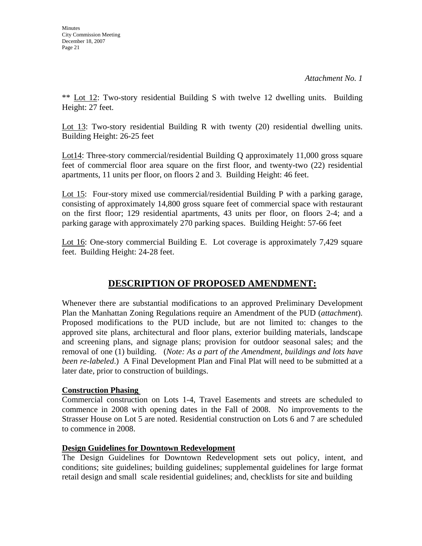\*\* Lot 12: Two-story residential Building S with twelve 12 dwelling units. Building Height: 27 feet.

Lot 13: Two-story residential Building R with twenty (20) residential dwelling units. Building Height: 26-25 feet

Lot14: Three-story commercial/residential Building Q approximately 11,000 gross square feet of commercial floor area square on the first floor, and twenty-two (22) residential apartments, 11 units per floor, on floors 2 and 3. Building Height: 46 feet.

Lot 15: Four-story mixed use commercial/residential Building P with a parking garage, consisting of approximately 14,800 gross square feet of commercial space with restaurant on the first floor; 129 residential apartments, 43 units per floor, on floors 2-4; and a parking garage with approximately 270 parking spaces. Building Height: 57-66 feet

Lot 16: One-story commercial Building E. Lot coverage is approximately 7,429 square feet. Building Height: 24-28 feet.

## **DESCRIPTION OF PROPOSED AMENDMENT:**

Whenever there are substantial modifications to an approved Preliminary Development Plan the Manhattan Zoning Regulations require an Amendment of the PUD (*attachment*). Proposed modifications to the PUD include, but are not limited to: changes to the approved site plans, architectural and floor plans, exterior building materials, landscape and screening plans, and signage plans; provision for outdoor seasonal sales; and the removal of one (1) building. (*Note: As a part of the Amendment, buildings and lots have been re-labeled*.) A Final Development Plan and Final Plat will need to be submitted at a later date, prior to construction of buildings.

## **Construction Phasing**

Commercial construction on Lots 1-4, Travel Easements and streets are scheduled to commence in 2008 with opening dates in the Fall of 2008. No improvements to the Strasser House on Lot 5 are noted. Residential construction on Lots 6 and 7 are scheduled to commence in 2008.

### **Design Guidelines for Downtown Redevelopment**

The Design Guidelines for Downtown Redevelopment sets out policy, intent, and conditions; site guidelines; building guidelines; supplemental guidelines for large format retail design and small scale residential guidelines; and, checklists for site and building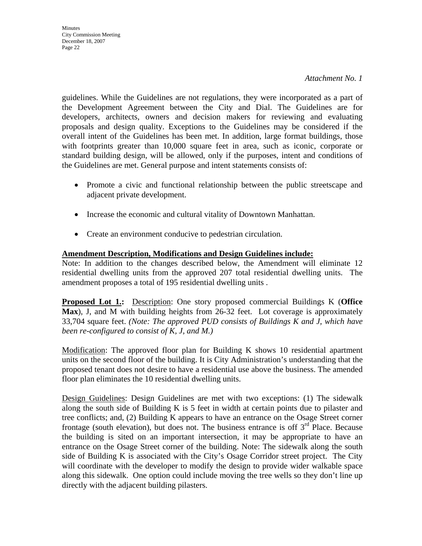*Attachment No. 1*

guidelines. While the Guidelines are not regulations, they were incorporated as a part of the Development Agreement between the City and Dial. The Guidelines are for developers, architects, owners and decision makers for reviewing and evaluating proposals and design quality. Exceptions to the Guidelines may be considered if the overall intent of the Guidelines has been met. In addition, large format buildings, those with footprints greater than 10,000 square feet in area, such as iconic, corporate or standard building design, will be allowed, only if the purposes, intent and conditions of the Guidelines are met. General purpose and intent statements consists of:

- Promote a civic and functional relationship between the public streetscape and adjacent private development.
- Increase the economic and cultural vitality of Downtown Manhattan.
- Create an environment conducive to pedestrian circulation.

## **Amendment Description, Modifications and Design Guidelines include:**

Note: In addition to the changes described below, the Amendment will eliminate 12 residential dwelling units from the approved 207 total residential dwelling units. The amendment proposes a total of 195 residential dwelling units .

**Proposed Lot 1.:** Description: One story proposed commercial Buildings K (**Office Max**), J, and M with building heights from 26-32 feet. Lot coverage is approximately 33,704 square feet. *(Note: The approved PUD consists of Buildings K and J, which have been re-configured to consist of K, J, and M.)* 

Modification: The approved floor plan for Building K shows 10 residential apartment units on the second floor of the building. It is City Administration's understanding that the proposed tenant does not desire to have a residential use above the business. The amended floor plan eliminates the 10 residential dwelling units.

Design Guidelines: Design Guidelines are met with two exceptions: (1) The sidewalk along the south side of Building K is 5 feet in width at certain points due to pilaster and tree conflicts; and, (2) Building K appears to have an entrance on the Osage Street corner frontage (south elevation), but does not. The business entrance is off  $3<sup>rd</sup>$  Place. Because the building is sited on an important intersection, it may be appropriate to have an entrance on the Osage Street corner of the building. Note: The sidewalk along the south side of Building K is associated with the City's Osage Corridor street project. The City will coordinate with the developer to modify the design to provide wider walkable space along this sidewalk. One option could include moving the tree wells so they don't line up directly with the adjacent building pilasters.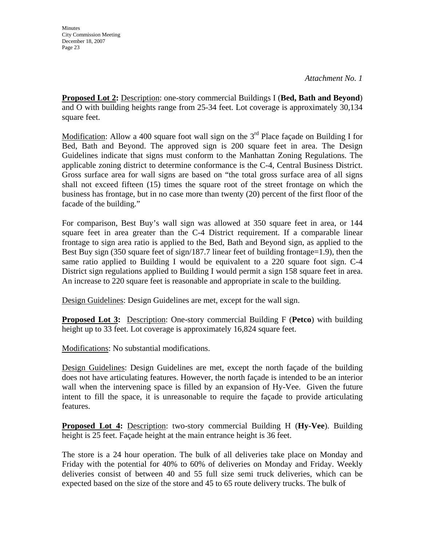**Minutes** City Commission Meeting December 18, 2007 Page 23

**Proposed Lot 2:** Description: one-story commercial Buildings I (**Bed, Bath and Beyond**) and O with building heights range from 25-34 feet. Lot coverage is approximately 30,134 square feet.

Modification: Allow a 400 square foot wall sign on the  $3<sup>rd</sup>$  Place façade on Building I for Bed, Bath and Beyond. The approved sign is 200 square feet in area. The Design Guidelines indicate that signs must conform to the Manhattan Zoning Regulations. The applicable zoning district to determine conformance is the C-4, Central Business District. Gross surface area for wall signs are based on "the total gross surface area of all signs shall not exceed fifteen (15) times the square root of the street frontage on which the business has frontage, but in no case more than twenty (20) percent of the first floor of the facade of the building."

For comparison, Best Buy's wall sign was allowed at 350 square feet in area, or 144 square feet in area greater than the C-4 District requirement. If a comparable linear frontage to sign area ratio is applied to the Bed, Bath and Beyond sign, as applied to the Best Buy sign (350 square feet of sign/187.7 linear feet of building frontage=1.9), then the same ratio applied to Building I would be equivalent to a 220 square foot sign. C-4 District sign regulations applied to Building I would permit a sign 158 square feet in area. An increase to 220 square feet is reasonable and appropriate in scale to the building.

Design Guidelines: Design Guidelines are met, except for the wall sign.

**Proposed Lot 3:** Description: One-story commercial Building F (**Petco**) with building height up to 33 feet. Lot coverage is approximately 16,824 square feet.

Modifications: No substantial modifications.

Design Guidelines: Design Guidelines are met, except the north façade of the building does not have articulating features. However, the north façade is intended to be an interior wall when the intervening space is filled by an expansion of Hy-Vee. Given the future intent to fill the space, it is unreasonable to require the façade to provide articulating features.

**Proposed Lot 4:** Description: two-story commercial Building H (**Hy-Vee**). Building height is 25 feet. Façade height at the main entrance height is 36 feet.

The store is a 24 hour operation. The bulk of all deliveries take place on Monday and Friday with the potential for 40% to 60% of deliveries on Monday and Friday. Weekly deliveries consist of between 40 and 55 full size semi truck deliveries, which can be expected based on the size of the store and 45 to 65 route delivery trucks. The bulk of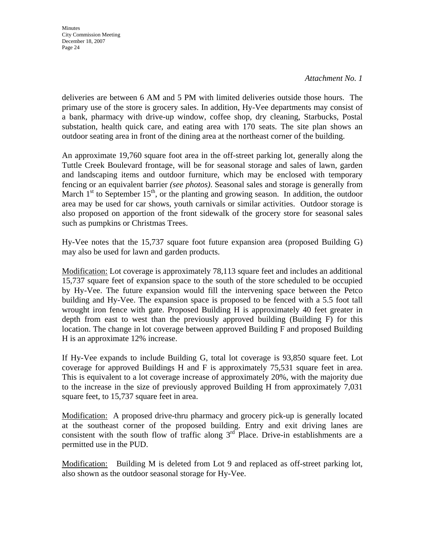*Attachment No. 1*

deliveries are between 6 AM and 5 PM with limited deliveries outside those hours. The primary use of the store is grocery sales. In addition, Hy-Vee departments may consist of a bank, pharmacy with drive-up window, coffee shop, dry cleaning, Starbucks, Postal substation, health quick care, and eating area with 170 seats. The site plan shows an outdoor seating area in front of the dining area at the northeast corner of the building.

An approximate 19,760 square foot area in the off-street parking lot, generally along the Tuttle Creek Boulevard frontage, will be for seasonal storage and sales of lawn, garden and landscaping items and outdoor furniture, which may be enclosed with temporary fencing or an equivalent barrier *(see photos)*. Seasonal sales and storage is generally from March  $1<sup>st</sup>$  to September  $15<sup>th</sup>$ , or the planting and growing season. In addition, the outdoor area may be used for car shows, youth carnivals or similar activities. Outdoor storage is also proposed on apportion of the front sidewalk of the grocery store for seasonal sales such as pumpkins or Christmas Trees.

Hy-Vee notes that the 15,737 square foot future expansion area (proposed Building G) may also be used for lawn and garden products.

Modification: Lot coverage is approximately 78,113 square feet and includes an additional 15,737 square feet of expansion space to the south of the store scheduled to be occupied by Hy-Vee. The future expansion would fill the intervening space between the Petco building and Hy-Vee. The expansion space is proposed to be fenced with a 5.5 foot tall wrought iron fence with gate. Proposed Building H is approximately 40 feet greater in depth from east to west than the previously approved building (Building F) for this location. The change in lot coverage between approved Building F and proposed Building H is an approximate 12% increase.

If Hy-Vee expands to include Building G, total lot coverage is 93,850 square feet. Lot coverage for approved Buildings H and F is approximately 75,531 square feet in area. This is equivalent to a lot coverage increase of approximately 20%, with the majority due to the increase in the size of previously approved Building H from approximately 7,031 square feet, to 15,737 square feet in area.

Modification: A proposed drive-thru pharmacy and grocery pick-up is generally located at the southeast corner of the proposed building. Entry and exit driving lanes are consistent with the south flow of traffic along  $3<sup>rd</sup>$  Place. Drive-in establishments are a permitted use in the PUD.

Modification: Building M is deleted from Lot 9 and replaced as off-street parking lot, also shown as the outdoor seasonal storage for Hy-Vee.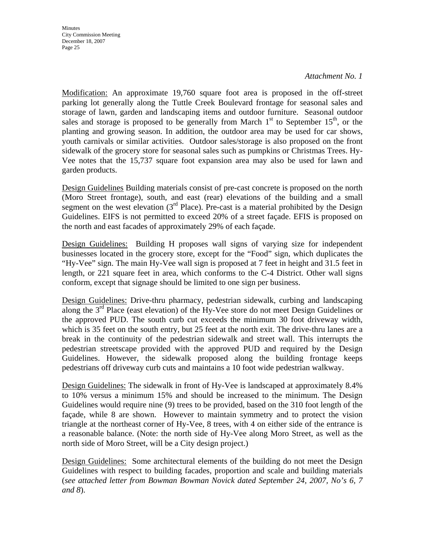#### *Attachment No. 1*

Modification: An approximate 19,760 square foot area is proposed in the off-street parking lot generally along the Tuttle Creek Boulevard frontage for seasonal sales and storage of lawn, garden and landscaping items and outdoor furniture. Seasonal outdoor sales and storage is proposed to be generally from March  $1<sup>st</sup>$  to September  $15<sup>th</sup>$ , or the planting and growing season. In addition, the outdoor area may be used for car shows, youth carnivals or similar activities. Outdoor sales/storage is also proposed on the front sidewalk of the grocery store for seasonal sales such as pumpkins or Christmas Trees. Hy-Vee notes that the 15,737 square foot expansion area may also be used for lawn and garden products.

Design Guidelines Building materials consist of pre-cast concrete is proposed on the north (Moro Street frontage), south, and east (rear) elevations of the building and a small segment on the west elevation  $3<sup>rd</sup>$  Place). Pre-cast is a material prohibited by the Design Guidelines. EIFS is not permitted to exceed 20% of a street façade. EFIS is proposed on the north and east facades of approximately 29% of each façade.

Design Guidelines: Building H proposes wall signs of varying size for independent businesses located in the grocery store, except for the "Food" sign, which duplicates the "Hy-Vee" sign. The main Hy-Vee wall sign is proposed at 7 feet in height and 31.5 feet in length, or 221 square feet in area, which conforms to the C-4 District. Other wall signs conform, except that signage should be limited to one sign per business.

Design Guidelines: Drive-thru pharmacy, pedestrian sidewalk, curbing and landscaping along the 3<sup>rd</sup> Place (east elevation) of the Hy-Vee store do not meet Design Guidelines or the approved PUD. The south curb cut exceeds the minimum 30 foot driveway width, which is 35 feet on the south entry, but 25 feet at the north exit. The drive-thru lanes are a break in the continuity of the pedestrian sidewalk and street wall. This interrupts the pedestrian streetscape provided with the approved PUD and required by the Design Guidelines. However, the sidewalk proposed along the building frontage keeps pedestrians off driveway curb cuts and maintains a 10 foot wide pedestrian walkway.

Design Guidelines: The sidewalk in front of Hy-Vee is landscaped at approximately 8.4% to 10% versus a minimum 15% and should be increased to the minimum. The Design Guidelines would require nine (9) trees to be provided, based on the 310 foot length of the façade, while 8 are shown. However to maintain symmetry and to protect the vision triangle at the northeast corner of Hy-Vee, 8 trees, with 4 on either side of the entrance is a reasonable balance. (Note: the north side of Hy-Vee along Moro Street, as well as the north side of Moro Street, will be a City design project.)

Design Guidelines: Some architectural elements of the building do not meet the Design Guidelines with respect to building facades, proportion and scale and building materials (*see attached letter from Bowman Bowman Novick dated September 24, 2007, No's 6, 7 and 8*).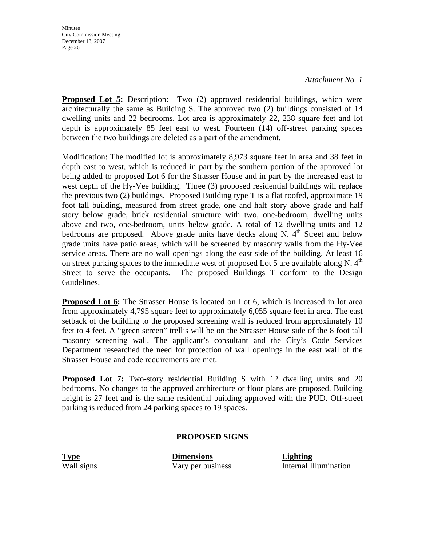*Attachment No. 1*

**Proposed Lot 5:** Description: Two (2) approved residential buildings, which were architecturally the same as Building S. The approved two (2) buildings consisted of 14 dwelling units and 22 bedrooms. Lot area is approximately 22, 238 square feet and lot depth is approximately 85 feet east to west. Fourteen (14) off-street parking spaces between the two buildings are deleted as a part of the amendment.

Modification: The modified lot is approximately 8,973 square feet in area and 38 feet in depth east to west, which is reduced in part by the southern portion of the approved lot being added to proposed Lot 6 for the Strasser House and in part by the increased east to west depth of the Hy-Vee building. Three (3) proposed residential buildings will replace the previous two (2) buildings. Proposed Building type T is a flat roofed, approximate 19 foot tall building, measured from street grade, one and half story above grade and half story below grade, brick residential structure with two, one-bedroom, dwelling units above and two, one-bedroom, units below grade. A total of 12 dwelling units and 12 bedrooms are proposed. Above grade units have decks along N.  $4<sup>th</sup>$  Street and below grade units have patio areas, which will be screened by masonry walls from the Hy-Vee service areas. There are no wall openings along the east side of the building. At least 16 on street parking spaces to the immediate west of proposed Lot 5 are available along N.  $4<sup>th</sup>$ Street to serve the occupants. The proposed Buildings T conform to the Design Guidelines.

**Proposed Lot 6:** The Strasser House is located on Lot 6, which is increased in lot area from approximately 4,795 square feet to approximately 6,055 square feet in area. The east setback of the building to the proposed screening wall is reduced from approximately 10 feet to 4 feet. A "green screen" trellis will be on the Strasser House side of the 8 foot tall masonry screening wall. The applicant's consultant and the City's Code Services Department researched the need for protection of wall openings in the east wall of the Strasser House and code requirements are met.

**Proposed Lot 7:** Two-story residential Building S with 12 dwelling units and 20 bedrooms. No changes to the approved architecture or floor plans are proposed. Building height is 27 feet and is the same residential building approved with the PUD. Off-street parking is reduced from 24 parking spaces to 19 spaces.

#### **PROPOSED SIGNS**

**Type Dimensions Lighting**

Wall signs Vary per business Internal Illumination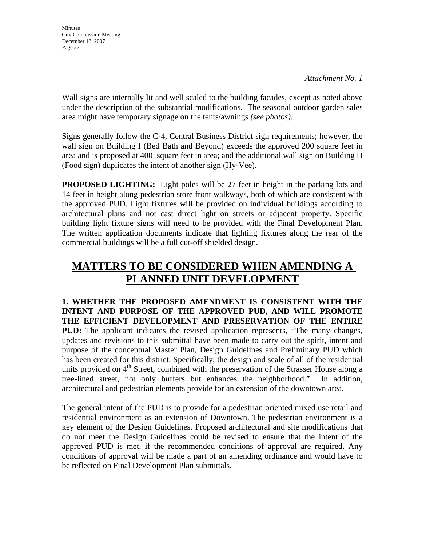**Minutes** City Commission Meeting December 18, 2007 Page 27

Wall signs are internally lit and well scaled to the building facades, except as noted above under the description of the substantial modifications. The seasonal outdoor garden sales area might have temporary signage on the tents/awnings *(see photos)*.

Signs generally follow the C-4, Central Business District sign requirements; however, the wall sign on Building I (Bed Bath and Beyond) exceeds the approved 200 square feet in area and is proposed at 400 square feet in area; and the additional wall sign on Building H (Food sign) duplicates the intent of another sign (Hy-Vee).

**PROPOSED LIGHTING:** Light poles will be 27 feet in height in the parking lots and 14 feet in height along pedestrian store front walkways, both of which are consistent with the approved PUD. Light fixtures will be provided on individual buildings according to architectural plans and not cast direct light on streets or adjacent property. Specific building light fixture signs will need to be provided with the Final Development Plan. The written application documents indicate that lighting fixtures along the rear of the commercial buildings will be a full cut-off shielded design.

# **MATTERS TO BE CONSIDERED WHEN AMENDING A PLANNED UNIT DEVELOPMENT**

**1. WHETHER THE PROPOSED AMENDMENT IS CONSISTENT WITH THE INTENT AND PURPOSE OF THE APPROVED PUD, AND WILL PROMOTE THE EFFICIENT DEVELOPMENT AND PRESERVATION OF THE ENTIRE PUD:** The applicant indicates the revised application represents, "The many changes, updates and revisions to this submittal have been made to carry out the spirit, intent and purpose of the conceptual Master Plan, Design Guidelines and Preliminary PUD which has been created for this district. Specifically, the design and scale of all of the residential units provided on  $4<sup>th</sup>$  Street, combined with the preservation of the Strasser House along a tree-lined street, not only buffers but enhances the neighborhood." In addition, architectural and pedestrian elements provide for an extension of the downtown area.

The general intent of the PUD is to provide for a pedestrian oriented mixed use retail and residential environment as an extension of Downtown. The pedestrian environment is a key element of the Design Guidelines. Proposed architectural and site modifications that do not meet the Design Guidelines could be revised to ensure that the intent of the approved PUD is met, if the recommended conditions of approval are required. Any conditions of approval will be made a part of an amending ordinance and would have to be reflected on Final Development Plan submittals.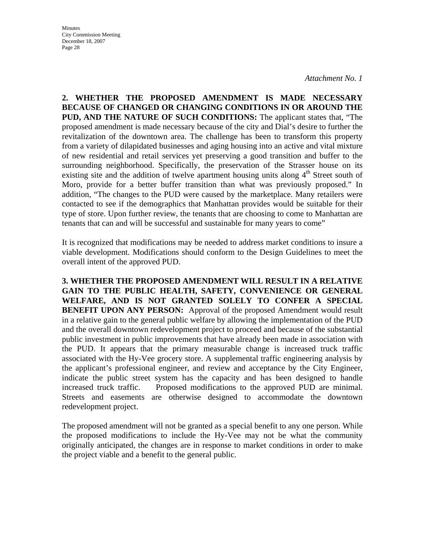*Attachment No. 1*

**2. WHETHER THE PROPOSED AMENDMENT IS MADE NECESSARY BECAUSE OF CHANGED OR CHANGING CONDITIONS IN OR AROUND THE PUD, AND THE NATURE OF SUCH CONDITIONS:** The applicant states that, "The proposed amendment is made necessary because of the city and Dial's desire to further the revitalization of the downtown area. The challenge has been to transform this property from a variety of dilapidated businesses and aging housing into an active and vital mixture of new residential and retail services yet preserving a good transition and buffer to the surrounding neighborhood. Specifically, the preservation of the Strasser house on its existing site and the addition of twelve apartment housing units along 4<sup>th</sup> Street south of Moro, provide for a better buffer transition than what was previously proposed." In addition, "The changes to the PUD were caused by the marketplace. Many retailers were contacted to see if the demographics that Manhattan provides would be suitable for their type of store. Upon further review, the tenants that are choosing to come to Manhattan are tenants that can and will be successful and sustainable for many years to come"

It is recognized that modifications may be needed to address market conditions to insure a viable development. Modifications should conform to the Design Guidelines to meet the overall intent of the approved PUD.

**3. WHETHER THE PROPOSED AMENDMENT WILL RESULT IN A RELATIVE GAIN TO THE PUBLIC HEALTH, SAFETY, CONVENIENCE OR GENERAL WELFARE, AND IS NOT GRANTED SOLELY TO CONFER A SPECIAL BENEFIT UPON ANY PERSON:** Approval of the proposed Amendment would result in a relative gain to the general public welfare by allowing the implementation of the PUD and the overall downtown redevelopment project to proceed and because of the substantial public investment in public improvements that have already been made in association with the PUD. It appears that the primary measurable change is increased truck traffic associated with the Hy-Vee grocery store. A supplemental traffic engineering analysis by the applicant's professional engineer, and review and acceptance by the City Engineer, indicate the public street system has the capacity and has been designed to handle increased truck traffic. Proposed modifications to the approved PUD are minimal. Streets and easements are otherwise designed to accommodate the downtown redevelopment project.

The proposed amendment will not be granted as a special benefit to any one person. While the proposed modifications to include the Hy-Vee may not be what the community originally anticipated, the changes are in response to market conditions in order to make the project viable and a benefit to the general public.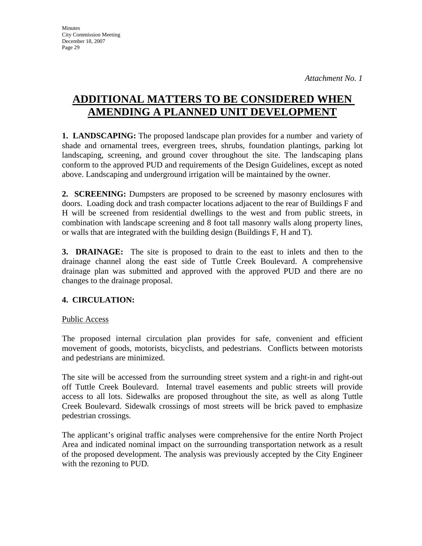# **ADDITIONAL MATTERS TO BE CONSIDERED WHEN AMENDING A PLANNED UNIT DEVELOPMENT**

**1. LANDSCAPING:** The proposed landscape plan provides for a number and variety of shade and ornamental trees, evergreen trees, shrubs, foundation plantings, parking lot landscaping, screening, and ground cover throughout the site. The landscaping plans conform to the approved PUD and requirements of the Design Guidelines, except as noted above. Landscaping and underground irrigation will be maintained by the owner.

**2. SCREENING:** Dumpsters are proposed to be screened by masonry enclosures with doors. Loading dock and trash compacter locations adjacent to the rear of Buildings F and H will be screened from residential dwellings to the west and from public streets, in combination with landscape screening and 8 foot tall masonry walls along property lines, or walls that are integrated with the building design (Buildings F, H and T).

**3. DRAINAGE:** The site is proposed to drain to the east to inlets and then to the drainage channel along the east side of Tuttle Creek Boulevard. A comprehensive drainage plan was submitted and approved with the approved PUD and there are no changes to the drainage proposal.

## **4. CIRCULATION:**

## Public Access

The proposed internal circulation plan provides for safe, convenient and efficient movement of goods, motorists, bicyclists, and pedestrians. Conflicts between motorists and pedestrians are minimized.

The site will be accessed from the surrounding street system and a right-in and right-out off Tuttle Creek Boulevard. Internal travel easements and public streets will provide access to all lots. Sidewalks are proposed throughout the site, as well as along Tuttle Creek Boulevard. Sidewalk crossings of most streets will be brick paved to emphasize pedestrian crossings.

The applicant's original traffic analyses were comprehensive for the entire North Project Area and indicated nominal impact on the surrounding transportation network as a result of the proposed development. The analysis was previously accepted by the City Engineer with the rezoning to PUD.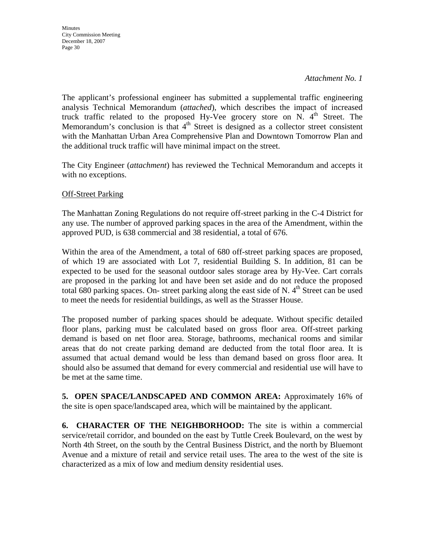*Attachment No. 1*

The applicant's professional engineer has submitted a supplemental traffic engineering analysis Technical Memorandum (*attached*), which describes the impact of increased truck traffic related to the proposed Hy-Vee grocery store on N.  $4<sup>th</sup>$  Street. The Memorandum's conclusion is that  $4<sup>th</sup>$  Street is designed as a collector street consistent with the Manhattan Urban Area Comprehensive Plan and Downtown Tomorrow Plan and the additional truck traffic will have minimal impact on the street.

The City Engineer (*attachment*) has reviewed the Technical Memorandum and accepts it with no exceptions.

**Off-Street Parking** 

The Manhattan Zoning Regulations do not require off-street parking in the C-4 District for any use. The number of approved parking spaces in the area of the Amendment, within the approved PUD, is 638 commercial and 38 residential, a total of 676.

Within the area of the Amendment, a total of 680 off-street parking spaces are proposed, of which 19 are associated with Lot 7, residential Building S. In addition, 81 can be expected to be used for the seasonal outdoor sales storage area by Hy-Vee. Cart corrals are proposed in the parking lot and have been set aside and do not reduce the proposed total 680 parking spaces. On- street parking along the east side of N.  $4<sup>th</sup>$  Street can be used to meet the needs for residential buildings, as well as the Strasser House.

The proposed number of parking spaces should be adequate. Without specific detailed floor plans, parking must be calculated based on gross floor area. Off-street parking demand is based on net floor area. Storage, bathrooms, mechanical rooms and similar areas that do not create parking demand are deducted from the total floor area. It is assumed that actual demand would be less than demand based on gross floor area. It should also be assumed that demand for every commercial and residential use will have to be met at the same time.

**5. OPEN SPACE/LANDSCAPED AND COMMON AREA:** Approximately 16% of the site is open space/landscaped area, which will be maintained by the applicant.

**6. CHARACTER OF THE NEIGHBORHOOD:** The site is within a commercial service/retail corridor, and bounded on the east by Tuttle Creek Boulevard, on the west by North 4th Street, on the south by the Central Business District, and the north by Bluemont Avenue and a mixture of retail and service retail uses. The area to the west of the site is characterized as a mix of low and medium density residential uses.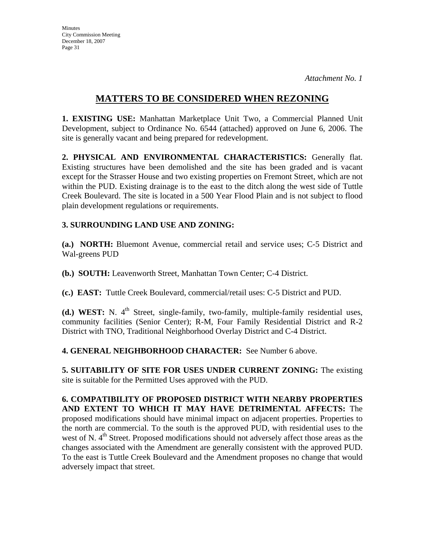## **MATTERS TO BE CONSIDERED WHEN REZONING**

**1. EXISTING USE:** Manhattan Marketplace Unit Two, a Commercial Planned Unit Development, subject to Ordinance No. 6544 (attached) approved on June 6, 2006. The site is generally vacant and being prepared for redevelopment.

**2. PHYSICAL AND ENVIRONMENTAL CHARACTERISTICS:** Generally flat. Existing structures have been demolished and the site has been graded and is vacant except for the Strasser House and two existing properties on Fremont Street, which are not within the PUD. Existing drainage is to the east to the ditch along the west side of Tuttle Creek Boulevard. The site is located in a 500 Year Flood Plain and is not subject to flood plain development regulations or requirements.

### **3. SURROUNDING LAND USE AND ZONING:**

**(a.) NORTH:** Bluemont Avenue, commercial retail and service uses; C-5 District and Wal-greens PUD

**(b.) SOUTH:** Leavenworth Street, Manhattan Town Center; C-4 District.

**(c.) EAST:** Tuttle Creek Boulevard, commercial/retail uses: C-5 District and PUD.

**(d.) WEST:** N. 4<sup>th</sup> Street, single-family, two-family, multiple-family residential uses, community facilities (Senior Center); R-M, Four Family Residential District and R-2 District with TNO, Traditional Neighborhood Overlay District and C-4 District.

**4. GENERAL NEIGHBORHOOD CHARACTER:** See Number 6 above.

**5. SUITABILITY OF SITE FOR USES UNDER CURRENT ZONING:** The existing site is suitable for the Permitted Uses approved with the PUD.

**6. COMPATIBILITY OF PROPOSED DISTRICT WITH NEARBY PROPERTIES AND EXTENT TO WHICH IT MAY HAVE DETRIMENTAL AFFECTS:** The proposed modifications should have minimal impact on adjacent properties. Properties to the north are commercial. To the south is the approved PUD, with residential uses to the west of N. 4<sup>th</sup> Street. Proposed modifications should not adversely affect those areas as the changes associated with the Amendment are generally consistent with the approved PUD. To the east is Tuttle Creek Boulevard and the Amendment proposes no change that would adversely impact that street.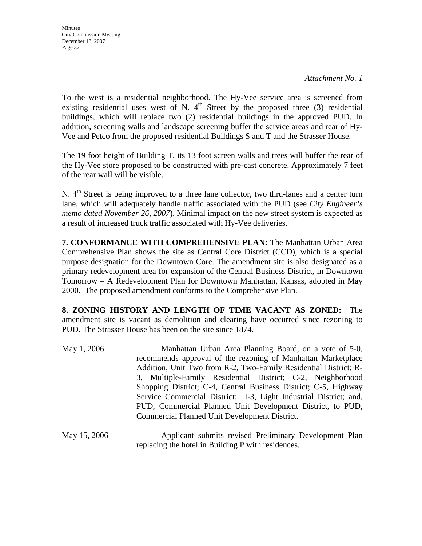*Attachment No. 1*

To the west is a residential neighborhood. The Hy-Vee service area is screened from existing residential uses west of N.  $4<sup>th</sup>$  Street by the proposed three (3) residential buildings, which will replace two (2) residential buildings in the approved PUD. In addition, screening walls and landscape screening buffer the service areas and rear of Hy-Vee and Petco from the proposed residential Buildings S and T and the Strasser House.

The 19 foot height of Building T, its 13 foot screen walls and trees will buffer the rear of the Hy-Vee store proposed to be constructed with pre-cast concrete. Approximately 7 feet of the rear wall will be visible.

N. 4<sup>th</sup> Street is being improved to a three lane collector, two thru-lanes and a center turn lane, which will adequately handle traffic associated with the PUD (see *City Engineer's memo dated November 26, 2007*). Minimal impact on the new street system is expected as a result of increased truck traffic associated with Hy-Vee deliveries.

**7. CONFORMANCE WITH COMPREHENSIVE PLAN:** The Manhattan Urban Area Comprehensive Plan shows the site as Central Core District (CCD), which is a special purpose designation for the Downtown Core. The amendment site is also designated as a primary redevelopment area for expansion of the Central Business District, in Downtown Tomorrow – A Redevelopment Plan for Downtown Manhattan, Kansas, adopted in May 2000. The proposed amendment conforms to the Comprehensive Plan.

**8. ZONING HISTORY AND LENGTH OF TIME VACANT AS ZONED:** The amendment site is vacant as demolition and clearing have occurred since rezoning to PUD. The Strasser House has been on the site since 1874.

| May 1, 2006  | Manhattan Urban Area Planning Board, on a vote of 5-0,<br>recommends approval of the rezoning of Manhattan Marketplace<br>Addition, Unit Two from R-2, Two-Family Residential District; R-<br>3, Multiple-Family Residential District; C-2, Neighborhood<br>Shopping District; C-4, Central Business District; C-5, Highway<br>Service Commercial District; I-3, Light Industrial District; and,<br>PUD, Commercial Planned Unit Development District, to PUD,<br>Commercial Planned Unit Development District. |
|--------------|-----------------------------------------------------------------------------------------------------------------------------------------------------------------------------------------------------------------------------------------------------------------------------------------------------------------------------------------------------------------------------------------------------------------------------------------------------------------------------------------------------------------|
| May 15, 2006 | Applicant submits revised Preliminary Development Plan                                                                                                                                                                                                                                                                                                                                                                                                                                                          |

replacing the hotel in Building P with residences.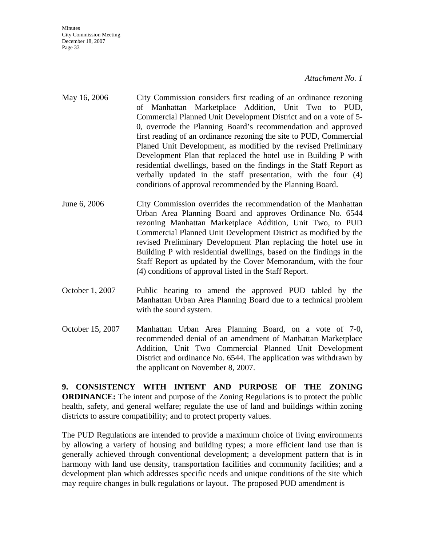*Attachment No. 1*

- May 16, 2006 City Commission considers first reading of an ordinance rezoning of Manhattan Marketplace Addition, Unit Two to PUD, Commercial Planned Unit Development District and on a vote of 5- 0, overrode the Planning Board's recommendation and approved first reading of an ordinance rezoning the site to PUD, Commercial Planed Unit Development, as modified by the revised Preliminary Development Plan that replaced the hotel use in Building P with residential dwellings, based on the findings in the Staff Report as verbally updated in the staff presentation, with the four (4) conditions of approval recommended by the Planning Board.
- June 6, 2006 City Commission overrides the recommendation of the Manhattan Urban Area Planning Board and approves Ordinance No. 6544 rezoning Manhattan Marketplace Addition, Unit Two, to PUD Commercial Planned Unit Development District as modified by the revised Preliminary Development Plan replacing the hotel use in Building P with residential dwellings, based on the findings in the Staff Report as updated by the Cover Memorandum, with the four (4) conditions of approval listed in the Staff Report.
- October 1, 2007 Public hearing to amend the approved PUD tabled by the Manhattan Urban Area Planning Board due to a technical problem with the sound system.
- October 15, 2007 Manhattan Urban Area Planning Board, on a vote of 7-0, recommended denial of an amendment of Manhattan Marketplace Addition, Unit Two Commercial Planned Unit Development District and ordinance No. 6544. The application was withdrawn by the applicant on November 8, 2007.

**9. CONSISTENCY WITH INTENT AND PURPOSE OF THE ZONING ORDINANCE:** The intent and purpose of the Zoning Regulations is to protect the public health, safety, and general welfare; regulate the use of land and buildings within zoning districts to assure compatibility; and to protect property values.

The PUD Regulations are intended to provide a maximum choice of living environments by allowing a variety of housing and building types; a more efficient land use than is generally achieved through conventional development; a development pattern that is in harmony with land use density, transportation facilities and community facilities; and a development plan which addresses specific needs and unique conditions of the site which may require changes in bulk regulations or layout. The proposed PUD amendment is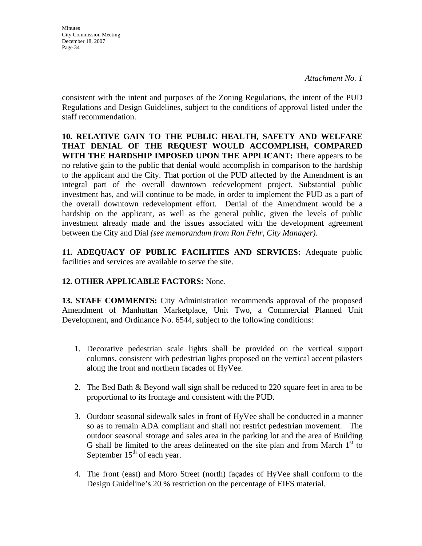**Minutes** City Commission Meeting December 18, 2007 Page 34

consistent with the intent and purposes of the Zoning Regulations, the intent of the PUD Regulations and Design Guidelines, subject to the conditions of approval listed under the staff recommendation.

**10. RELATIVE GAIN TO THE PUBLIC HEALTH, SAFETY AND WELFARE THAT DENIAL OF THE REQUEST WOULD ACCOMPLISH, COMPARED WITH THE HARDSHIP IMPOSED UPON THE APPLICANT:** There appears to be no relative gain to the public that denial would accomplish in comparison to the hardship to the applicant and the City. That portion of the PUD affected by the Amendment is an integral part of the overall downtown redevelopment project. Substantial public investment has, and will continue to be made, in order to implement the PUD as a part of the overall downtown redevelopment effort. Denial of the Amendment would be a hardship on the applicant, as well as the general public, given the levels of public investment already made and the issues associated with the development agreement between the City and Dial *(see memorandum from Ron Fehr, City Manager)*.

**11. ADEQUACY OF PUBLIC FACILITIES AND SERVICES:** Adequate public facilities and services are available to serve the site.

## **12. OTHER APPLICABLE FACTORS:** None.

**13. STAFF COMMENTS:** City Administration recommends approval of the proposed Amendment of Manhattan Marketplace, Unit Two, a Commercial Planned Unit Development, and Ordinance No. 6544, subject to the following conditions:

- 1. Decorative pedestrian scale lights shall be provided on the vertical support columns, consistent with pedestrian lights proposed on the vertical accent pilasters along the front and northern facades of HyVee.
- 2. The Bed Bath & Beyond wall sign shall be reduced to 220 square feet in area to be proportional to its frontage and consistent with the PUD.
- 3. Outdoor seasonal sidewalk sales in front of HyVee shall be conducted in a manner so as to remain ADA compliant and shall not restrict pedestrian movement. The outdoor seasonal storage and sales area in the parking lot and the area of Building G shall be limited to the areas delineated on the site plan and from March  $1<sup>st</sup>$  to September  $15<sup>th</sup>$  of each year.
- 4. The front (east) and Moro Street (north) façades of HyVee shall conform to the Design Guideline's 20 % restriction on the percentage of EIFS material.